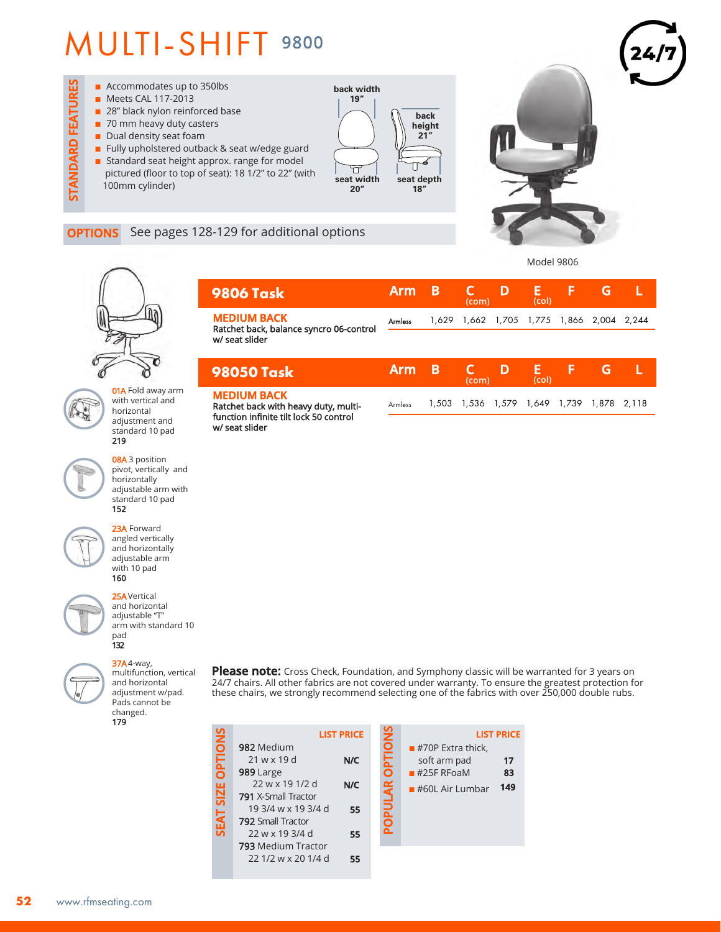# MULTI-SHIFT <sup>9800</sup>



#### **OPTIONS** See pages 128-129 for additional options

**9806 Task**



Model 9806

**Arm B C D E F G L (com) (col)**



01A Fold away arm with vertical and horizontal adjustment and standard 10 pad 219

08A 3 position pivot, vertically and horizontally adjustable arm with standard 10 pad 152



23A Forward angled vertically and horizontally adjustable arm with 10 pad 160

arm with standard 10 pad 132

25AVertical and horizontal adjustable "T"



37A4-way, multifunction, vertical and horizontal adjustment w/pad. Pads cannot be changed. 179

| <b>MEDIUM BACK</b><br>Ratchet back, balance syncro 06-control<br>w/ seat slider | <b>Armless</b> |       |               |    |             | 1,629 1,662 1,705 1,775 1,866 2,004 2,244 |   |  |
|---------------------------------------------------------------------------------|----------------|-------|---------------|----|-------------|-------------------------------------------|---|--|
| <b>98050 Task</b>                                                               | Arm B          |       | IC I<br>(com) | D. | E.<br>(col) | E                                         | G |  |
| <b>MEDIUM BACK</b><br>Ratchet back with heavy duty, multi-                      | Armless        | 1,503 |               |    |             | 1,536 1,579 1,649 1,739 1,878 2,118       |   |  |

Ratchet back with heavy duty, multifunction infinite tilt lock 50 control w/ seat slider



**SEAT SIZE OPTIONS LIST PRICE** 982 Medium **SIZE OPTIO** 21 w x 19 d **N/C** 989 Large 22 w x 19 1/2 d **N/C** 791 X-Small Tractor 19 3/4 w x 19 3/4 d **55** 792 Small Tractor 22 w x 19 3/4 d **55** 793 Medium Tractor 22 1/2 w x 20 1/4 d **55**

| <b>PTION!</b><br><b>LIST PRICE</b><br>$\blacksquare$ #70P Extra thick.<br>soft arm pad<br>17<br>Ċ<br>$#25F$ RFoaM<br>83<br>DPULAR<br>149<br>$#60L$ Air Lumbar |
|---------------------------------------------------------------------------------------------------------------------------------------------------------------|
|---------------------------------------------------------------------------------------------------------------------------------------------------------------|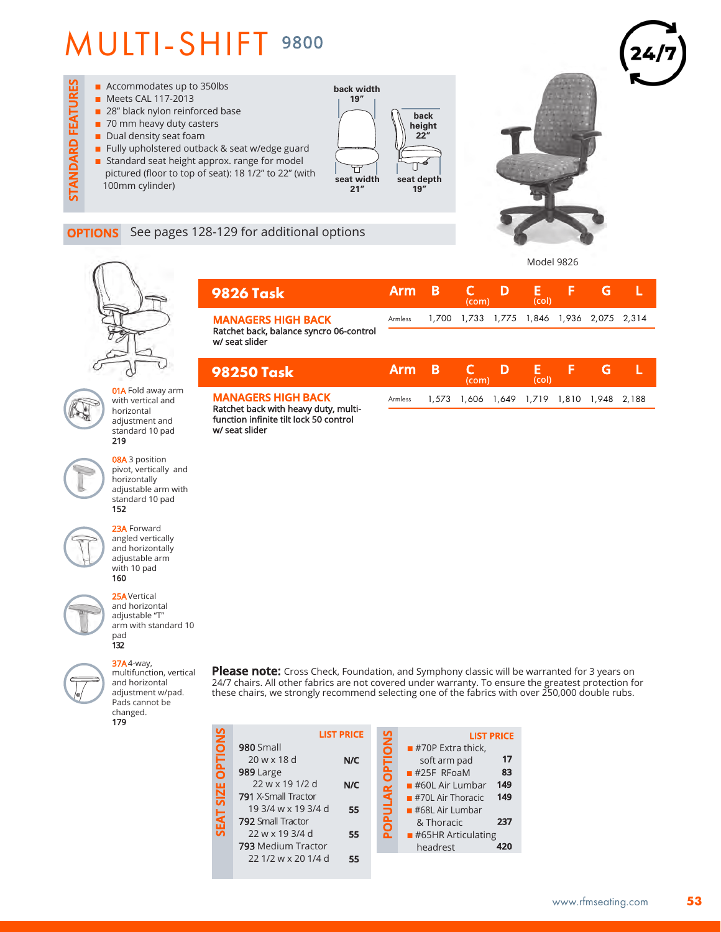# MULTI-SHIFT <sup>9800</sup>



### **OPTIONS** See pages 128-129 for additional options

**9826 Task**



Model 9826

**Arm B C D E F G L** 



**01A** Fold away arm with vertical and horizontal adjustment and standard 10 pad 219

08A 3 position pivot, vertically and horizontally adjustable arm with standard 10 pad 152



23A Forward angled vertically and horizontally adjustable arm with 10 pad 160

25AVertical

and horizontal adjustable "T"

> 132 37A4-way,

pad



multifunction, vertical and horizontal adjustment w/pad. Pads cannot be changed. 179

arm with standard 10

|                                                           |            |       | (com) |   | (col)                                     |    |   |  |
|-----------------------------------------------------------|------------|-------|-------|---|-------------------------------------------|----|---|--|
| <b>MANAGERS HIGH BACK</b>                                 | Armless    |       |       |   | 1,700 1,733 1,775 1,846 1,936 2,075 2,314 |    |   |  |
| Ratchet back, balance syncro 06-control<br>w/ seat slider |            |       |       |   |                                           |    |   |  |
| <b>98250 Task</b>                                         | <b>Arm</b> | B     | (com) | D | Е.<br>(col)                               | 15 | G |  |
| <b>MANAGERS HIGH BACK</b>                                 | Armless    | 1.573 |       |   | 1,606 1,649 1,719 1,810 1,948 2,188       |    |   |  |

Ratchet back with heavy duty, multifunction infinite tilt lock 50 control w/ seat slider

Please note: Cross Check, Foundation, and Symphony classic will be warranted for 3 years on 24/7 chairs. All other fabrics are not covered under warranty. To ensure the greatest protection for these chairs, we strongly recommend selecting one of the fabrics with over 250,000 double rubs.

|                |                           | <b>LIST PRICE</b> |
|----------------|---------------------------|-------------------|
| <b>OPTIONS</b> | 980 Small                 |                   |
|                | 20 w x 18 d               | N/C               |
|                | 989 Large                 |                   |
|                | 22 w x 19 1/2 d           | N/C               |
| <b>SIZE</b>    | 791 X-Small Tractor       |                   |
|                | 19 3/4 w x 19 3/4 d       | 55                |
| EAT            | 792 Small Tractor         |                   |
| ភ              | 22 w x 19 3/4 d           | 55                |
|                | <b>793</b> Medium Tractor |                   |
|                | 22 1/2 w x 20 1/4 d       |                   |

|              |                                   | <b>LIST PRICE</b> |
|--------------|-----------------------------------|-------------------|
|              | $\blacksquare$ #70P Extra thick,  |                   |
| <b>NOLL</b>  | soft arm pad                      | 17                |
| C            | $#25F$ RFoaM                      | 83                |
|              | $#60L$ Air Lumbar                 | 149               |
| <b>PULAR</b> | $#70L$ Air Thoracic               | 149               |
|              | $#68L$ Air Lumbar                 |                   |
| ٠            | & Thoracic                        | 237               |
|              | $\blacksquare$ #65HR Articulating |                   |
|              | headrest                          |                   |